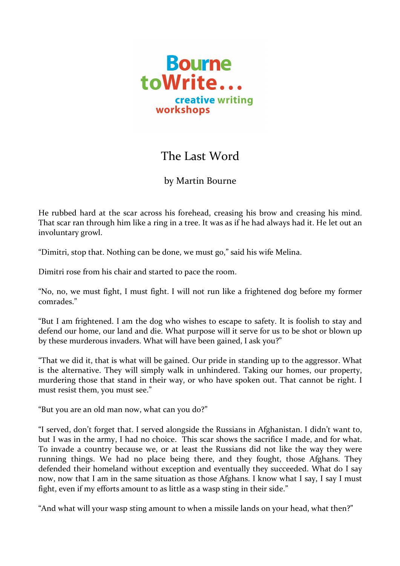

## The Last Word

## by Martin Bourne

He rubbed hard at the scar across his forehead, creasing his brow and creasing his mind. That scar ran through him like a ring in a tree. It was as if he had always had it. He let out an involuntary growl.

"Dimitri, stop that. Nothing can be done, we must go," said his wife Melina.

Dimitri rose from his chair and started to pace the room.

"No, no, we must fight, I must fight. I will not run like a frightened dog before my former comrades."

"But I am frightened. I am the dog who wishes to escape to safety. It is foolish to stay and defend our home, our land and die. What purpose will it serve for us to be shot or blown up by these murderous invaders. What will have been gained, I ask you?"

"That we did it, that is what will be gained. Our pride in standing up to the aggressor. What is the alternative. They will simply walk in unhindered. Taking our homes, our property, murdering those that stand in their way, or who have spoken out. That cannot be right. I must resist them, you must see."

"But you are an old man now, what can you do?"

"I served, don't forget that. I served alongside the Russians in Afghanistan. I didn't want to, but I was in the army, I had no choice. This scar shows the sacrifice I made, and for what. To invade a country because we, or at least the Russians did not like the way they were running things. We had no place being there, and they fought, those Afghans. They defended their homeland without exception and eventually they succeeded. What do I say now, now that I am in the same situation as those Afghans. I know what I say, I say I must fight, even if my efforts amount to as little as a wasp sting in their side."

"And what will your wasp sting amount to when a missile lands on your head, what then?"